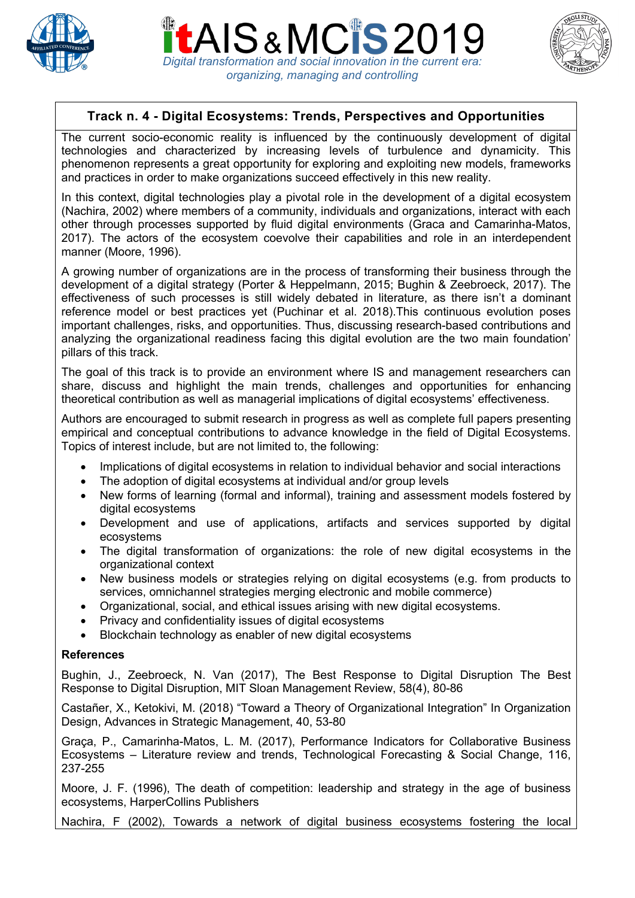

AIS&MCIS2 *Digital transformation and social innovation in the current era: organizing, managing and controlling*



# **Track n. 4 - Digital Ecosystems: Trends, Perspectives and Opportunities**

The current socio-economic reality is influenced by the continuously development of digital technologies and characterized by increasing levels of turbulence and dynamicity. This phenomenon represents a great opportunity for exploring and exploiting new models, frameworks and practices in order to make organizations succeed effectively in this new reality.

In this context, digital technologies play a pivotal role in the development of a digital ecosystem (Nachira, 2002) where members of a community, individuals and organizations, interact with each other through processes supported by fluid digital environments (Graca and Camarinha-Matos, 2017). The actors of the ecosystem coevolve their capabilities and role in an interdependent manner (Moore, 1996).

A growing number of organizations are in the process of transforming their business through the development of a digital strategy (Porter & Heppelmann, 2015; Bughin & Zeebroeck, 2017). The effectiveness of such processes is still widely debated in literature, as there isn't a dominant reference model or best practices yet (Puchinar et al. 2018).This continuous evolution poses important challenges, risks, and opportunities. Thus, discussing research-based contributions and analyzing the organizational readiness facing this digital evolution are the two main foundation' pillars of this track.

The goal of this track is to provide an environment where IS and management researchers can share, discuss and highlight the main trends, challenges and opportunities for enhancing theoretical contribution as well as managerial implications of digital ecosystems' effectiveness.

Authors are encouraged to submit research in progress as well as complete full papers presenting empirical and conceptual contributions to advance knowledge in the field of Digital Ecosystems. Topics of interest include, but are not limited to, the following:

- Implications of digital ecosystems in relation to individual behavior and social interactions
- The adoption of digital ecosystems at individual and/or group levels
- New forms of learning (formal and informal), training and assessment models fostered by digital ecosystems
- Development and use of applications, artifacts and services supported by digital ecosystems
- The digital transformation of organizations: the role of new digital ecosystems in the organizational context
- New business models or strategies relying on digital ecosystems (e.g. from products to services, omnichannel strategies merging electronic and mobile commerce)
- Organizational, social, and ethical issues arising with new digital ecosystems.
- Privacy and confidentiality issues of digital ecosystems
- Blockchain technology as enabler of new digital ecosystems

#### **References**

Bughin, J., Zeebroeck, N. Van (2017), The Best Response to Digital Disruption The Best Response to Digital Disruption, MIT Sloan Management Review, 58(4), 80-86

Castañer, X., Ketokivi, M. (2018) "Toward a Theory of Organizational Integration" In Organization Design, Advances in Strategic Management, 40, 53-80

Graça, P., Camarinha-Matos, L. M. (2017), Performance Indicators for Collaborative Business Ecosystems – Literature review and trends, Technological Forecasting & Social Change, 116, 237-255

Moore, J. F. (1996), The death of competition: leadership and strategy in the age of business ecosystems, HarperCollins Publishers

Nachira, F (2002), Towards a network of digital business ecosystems fostering the local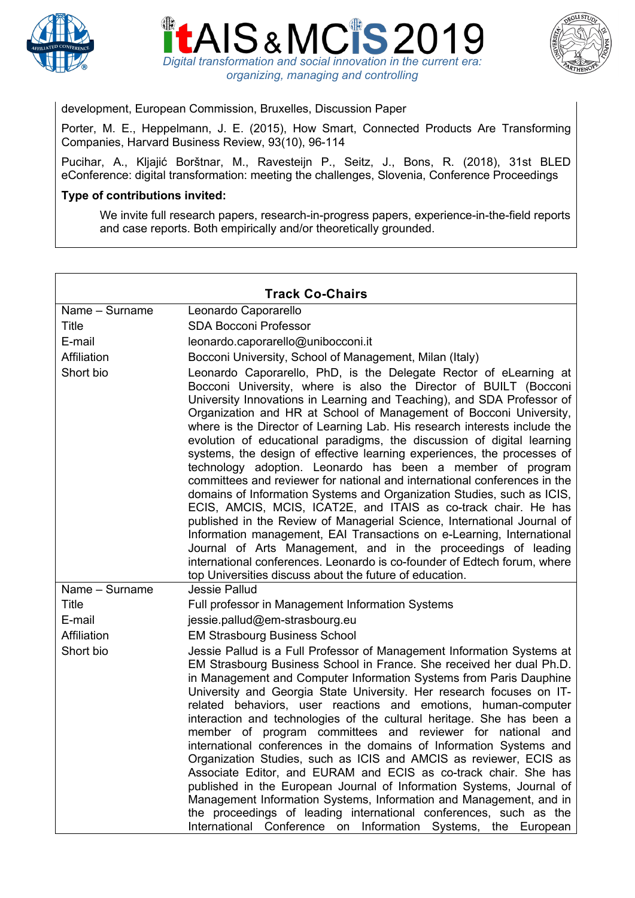





## development, European Commission, Bruxelles, Discussion Paper

Porter, M. E., Heppelmann, J. E. (2015), How Smart, Connected Products Are Transforming Companies, Harvard Business Review, 93(10), 96-114

Pucihar, A., Kljajić Borštnar, M., Ravesteijn P., Seitz, J., Bons, R. (2018), 31st BLED eConference: digital transformation: meeting the challenges, Slovenia, Conference Proceedings

#### **Type of contributions invited:**

We invite full research papers, research-in-progress papers, experience-in-the-field reports and case reports. Both empirically and/or theoretically grounded.

| <b>Track Co-Chairs</b> |                                                                                                                                                                                                                                                                                                                                                                                                                                                                                                                                                                                                                                                                                                                                                                                                                                                                                                                                                                                                                                                                                                                                                                            |
|------------------------|----------------------------------------------------------------------------------------------------------------------------------------------------------------------------------------------------------------------------------------------------------------------------------------------------------------------------------------------------------------------------------------------------------------------------------------------------------------------------------------------------------------------------------------------------------------------------------------------------------------------------------------------------------------------------------------------------------------------------------------------------------------------------------------------------------------------------------------------------------------------------------------------------------------------------------------------------------------------------------------------------------------------------------------------------------------------------------------------------------------------------------------------------------------------------|
| Name - Surname         | Leonardo Caporarello                                                                                                                                                                                                                                                                                                                                                                                                                                                                                                                                                                                                                                                                                                                                                                                                                                                                                                                                                                                                                                                                                                                                                       |
| <b>Title</b>           | <b>SDA Bocconi Professor</b>                                                                                                                                                                                                                                                                                                                                                                                                                                                                                                                                                                                                                                                                                                                                                                                                                                                                                                                                                                                                                                                                                                                                               |
| E-mail                 | leonardo.caporarello@unibocconi.it                                                                                                                                                                                                                                                                                                                                                                                                                                                                                                                                                                                                                                                                                                                                                                                                                                                                                                                                                                                                                                                                                                                                         |
| Affiliation            | Bocconi University, School of Management, Milan (Italy)                                                                                                                                                                                                                                                                                                                                                                                                                                                                                                                                                                                                                                                                                                                                                                                                                                                                                                                                                                                                                                                                                                                    |
| Short bio              | Leonardo Caporarello, PhD, is the Delegate Rector of eLearning at<br>Bocconi University, where is also the Director of BUILT (Bocconi<br>University Innovations in Learning and Teaching), and SDA Professor of<br>Organization and HR at School of Management of Bocconi University,<br>where is the Director of Learning Lab. His research interests include the<br>evolution of educational paradigms, the discussion of digital learning<br>systems, the design of effective learning experiences, the processes of<br>technology adoption. Leonardo has been a member of program<br>committees and reviewer for national and international conferences in the<br>domains of Information Systems and Organization Studies, such as ICIS,<br>ECIS, AMCIS, MCIS, ICAT2E, and ITAIS as co-track chair. He has<br>published in the Review of Managerial Science, International Journal of<br>Information management, EAI Transactions on e-Learning, International<br>Journal of Arts Management, and in the proceedings of leading<br>international conferences. Leonardo is co-founder of Edtech forum, where<br>top Universities discuss about the future of education. |
| Name - Surname         | Jessie Pallud                                                                                                                                                                                                                                                                                                                                                                                                                                                                                                                                                                                                                                                                                                                                                                                                                                                                                                                                                                                                                                                                                                                                                              |
| <b>Title</b>           | Full professor in Management Information Systems                                                                                                                                                                                                                                                                                                                                                                                                                                                                                                                                                                                                                                                                                                                                                                                                                                                                                                                                                                                                                                                                                                                           |
| E-mail                 | jessie.pallud@em-strasbourg.eu                                                                                                                                                                                                                                                                                                                                                                                                                                                                                                                                                                                                                                                                                                                                                                                                                                                                                                                                                                                                                                                                                                                                             |
| Affiliation            | <b>EM Strasbourg Business School</b>                                                                                                                                                                                                                                                                                                                                                                                                                                                                                                                                                                                                                                                                                                                                                                                                                                                                                                                                                                                                                                                                                                                                       |
| Short bio              | Jessie Pallud is a Full Professor of Management Information Systems at<br>EM Strasbourg Business School in France. She received her dual Ph.D.<br>in Management and Computer Information Systems from Paris Dauphine<br>University and Georgia State University. Her research focuses on IT-<br>related behaviors, user reactions and emotions, human-computer<br>interaction and technologies of the cultural heritage. She has been a<br>member of program committees and reviewer for national and<br>international conferences in the domains of Information Systems and<br>Organization Studies, such as ICIS and AMCIS as reviewer, ECIS as<br>Associate Editor, and EURAM and ECIS as co-track chair. She has<br>published in the European Journal of Information Systems, Journal of<br>Management Information Systems, Information and Management, and in<br>the proceedings of leading international conferences, such as the<br>International<br>Conference<br>Information Systems,<br>on<br>the<br>European                                                                                                                                                    |